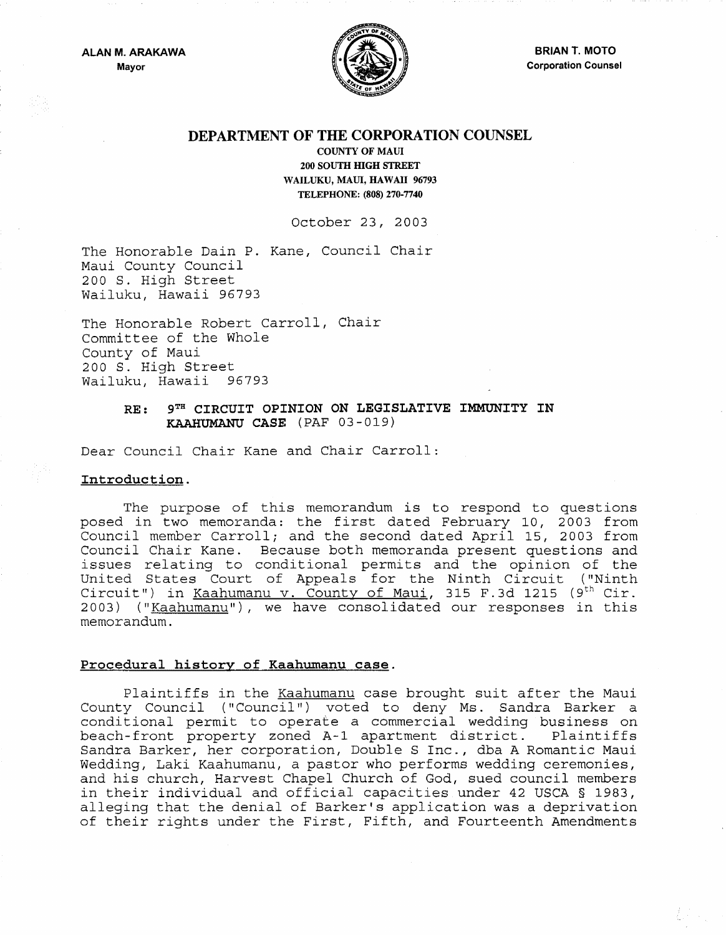ALAN M. ARAKAWA Mayor



# DEPARTMENT OF THE CORPORATION COUNSEL

COUNTY OF MAUl 200 SOUTH HIGH STREET WAILUKU, MAUl, HAWAII 96793 TELEPHONE: (808) 270·7740

October 23, 2003

The Honorable Dain P. Kane, Council Chair Maui County Council 200 S. High Street Wailuku, Hawaii 96793

The Honorable Robert Carroll, Chair Committee of the Whole County of Maui 200 S. High Street Wailuku, Hawaii 96793

## RE: 9TH CIRCUIT OPINION ON LEGISLATIVE IMMUNITY IN KAAHUMANU CASE (PAF 03-019)

Dear Council Chair Kane and Chair Carroll:

#### Introduction.

The purpose of this memorandum is to respond to questions posed in two memoranda: the first dated February 10, 2003 from Council member Carroll; and the second dated April 15, 2003 from Council Chair Kane. Because both memoranda present questions and issues relating to conditional permits and the opinion of the United States Court of Appeals for the Ninth Circuit ("Ninth Circuit") in <u>Kaahumanu v. County of Maui</u>, 315 F.3d 1215 (9<sup>th</sup> Cir. 2003) ("Kaahumanu"), we have consolidated our responses in this memorandum.

#### Procedural history of Kaahumanu case.

Plaintiffs in the Kaahumanu case brought suit after the Maui County Council ( "Council" ) voted to deny Ms. Sandra Barker a conditional permit to operate a commercial wedding business on beach-front property zoned A-1 apartment district. Plaintiffs Sandra Barker, her corporation, Double SIne., dba A Romantic Maui Wedding, Laki Kaahumanu, a pastor who performs wedding ceremonies, and his church, Harvest Chapel Church of God, sued council members in their individual and official capacities under 42 USCA § 1983, alleging that the denial of Barker's application was a deprivation of their rights under the First, Fifth, and Fourteenth Amendments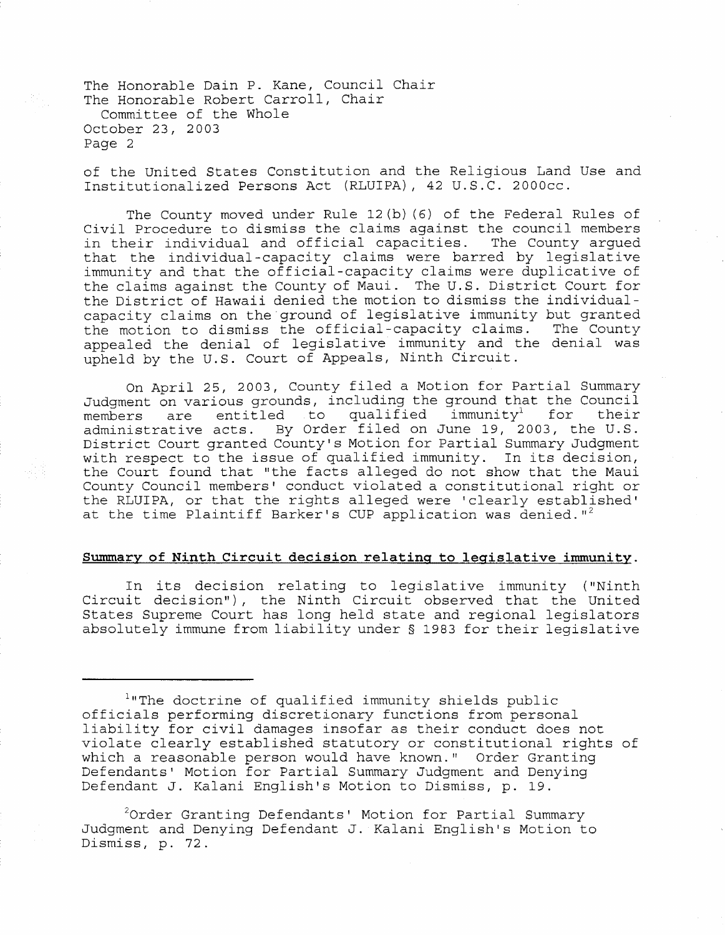of the United States Constitution and the Religious Land Use and Institutionalized Persons Act (RLUIPA), 42 U.S.C. 2000cc.

The County moved under Rule 12(b) (6) of the Federal Rules of Civil Procedure to dismiss the claims against the council members<br>in their individual and official capacities. The County argued in their individual and official capacities. that the individual-capacity claims were barred by legislative immunity and that the official-capacity claims were duplicative of the claims against the County of Maui. The U.S. District Court for the District of Hawaii denied the motion to dismiss the individualcapacity claims on the·ground of legislative immunity but granted the motion to dismiss the official-capacity claims. The County appealed the denial of legislative immunity and the denial was upheld by the U.S. Court of Appeals, Ninth Circuit.

On April 25, 2003, County filed a Motion for Partial Summary Judgment on various grounds, including the ground that the Council<br>members are entitled to qualified immunity<sup>1</sup> for their qualified immunity $^1$ administrative acts. By Order filed on June 19, 2003, the U.S. District Court granted County's Motion for Partial Summary Judgment with respect to the issue of qualified immunity. In its decision, the Court found that "the facts alleged do not show that the Maui County Council members' conduct violated a constitutional right or the RLUIPA, or that the rights alleged were 'clearly established' at the time Plaintiff Barker's CUP application was denied.  $1^2$ 

## Summary of Ninth Circuit decision relating to legislative immunity.

In its decision relating to legislative immunity ("Ninth Circuit decision"), the Ninth Circuit observed that the United States Supreme Court has long held state and regional legislators absolutely immune from liability under § 1983 for their legislative

<sup>2</sup>Order Granting Defendants' Motion for Partial Summary Judgment and Denying Defendant J. Kalani English's Motion to Dismiss, p. 72.

<sup>&</sup>lt;sup>1</sup>"The doctrine of qualified immunity shields public officials performing discretionary functions from personal liability for civil damages insofar as their conduct does not violate clearly established statutory or constitutional rights of which a reasonable person would have known." Order Granting Defendants' Motion for Partial Summary Judgment and Denying Defendant J. Kalani English's Motion to Dismiss, p. 19.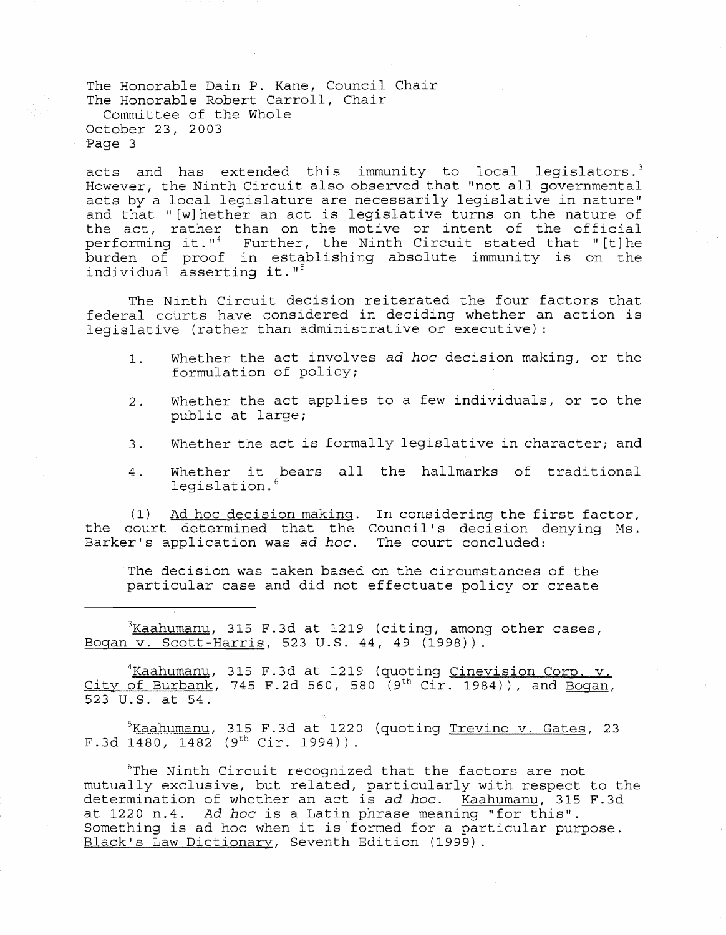acts and has extended this immunity to local legislators.<sup>3</sup> However, the Ninth Circuit also observed that "not all governmental acts by a local legislature are necessarily legislative in nature" and that" [w]hether an act is legislative turns on the nature of the act, rather than on the motive or intent of the official performing it."<sup>4</sup> Further, the Ninth Circuit stated that "[t] he burden of proof in establishing absolute immunity is on the individual asserting it."<sup>5</sup>

The Ninth Circuit decision reiterated the four factors that federal courts have considered in deciding whether an action is legislative (rather than administrative or executive) :

- 1. Whether the act involves ad *hoc* decision making, or the formulation of policy;
- 2. Whether the act applies to a few individuals, or to the public at large;
- 3. Whether the act is formally legislative in character; and
- 4. Whether it bears all the hallmarks of traditional legislation.<sup>6</sup>

(1) Ad hoc decision making. In considering the first factor, the court determined that the Council's decision denying Ms. Barker's application was ad *hoc.*  The court concluded:

The decision was taken based on the circumstances of the particular case and did not effectuate policy or create

 $3$ Kaahumanu, 315 F.3d at 1219 (citing, among other cases, Bogan v. Scott-Harris, 523 U.S. 44, 49 (1998)).

<sup>4</sup>Kaahumanu, 315 F.3d at 1219 (quoting Cinevision Corp. v. City of Burbank, 745 F.2d 560, 580 (9<sup>th</sup> Cir. 1984)), and Bogan, 523 U.S. at 54.

 $5$ Kaahumanu, 315 F.3d at 1220 (quoting  $F.3d$  1480, 1482 ( $9^{th}$  Cir. 1994)).

6The Ninth Circuit recognized that the factors are not mutually exclusive, but related, particularly with respect to the determination of whether an act is ad *hoc.* Kaahumanu, 315 F.3d at 1220 n.4. Ad hoc is a Latin phrase meaning "for this". Something is ad hoc when it is 'formed for a particular purpose. Black's Law Dictionary, Seventh Edition (1999).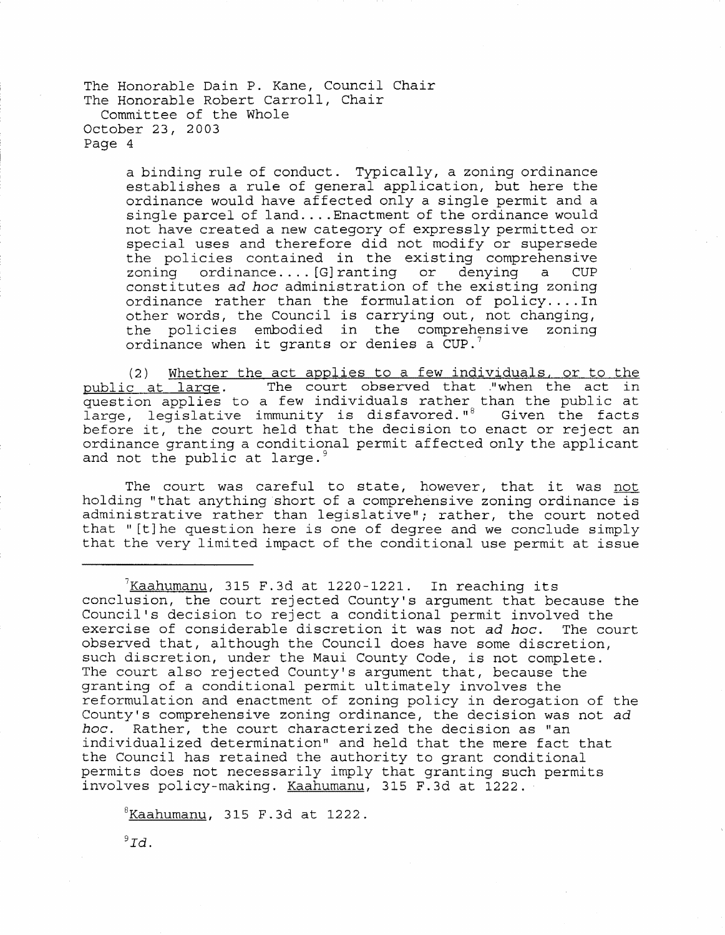> a binding rule of conduct. Typically, a zoning ordinance establishes a rule of general application, but here the ordinance would have affected only a single permit and a single parcel of land.... Enactment of the ordinance would not have created a new category of expressly permitted or special uses and therefore did not modify or supersede the policies contained in the existing comprehensive<br>zoning ordinance.... [G]ranting or denving a CUP zoning ordinance.... $[G]$ ranting or denying constitutes *ad hoc* administration of the existing zoning ordinance rather than the formulation of policy .... In other words, the Council is carrying out, not changing, the policies embodied in the comprehensive zoning ordinance when it grants or denies a CUP.<sup>7</sup>

(2) Whether the act applies to a few individuals, or to the public at large. The court observed that "when the act in The court observed that ."when the act in question applies to a few individuals rather than the public at large, legislative immunity is disfavored."<sup>8</sup> Given the facts large, legislative immunity is disfavored." $8$ before it, the court held that the decision to enact or reject an ordinance granting a conditional permit affected only the applicant and not the public at large.<sup>9</sup>

The court was careful to state, however, that it was not holding" that anything short of a comprehensive zoning ordinance is administrative rather than legislative"; rather, the court noted that" [t]he question here is one of degree and we conclude simply that the very limited impact of the conditional use permit at issue

 $7$ Kaahumanu, 315 F.3d at 1220-1221. In reaching its conclusion, the court rejected County's argument that because the Council's decision to reject a conditional permit involved the exercise of considerable discretion it was not *ad hoc.* The court observed that, although the Council does have some discretion, such discretion, under the Maui County Code, is not complete. The court also rejected County's argument that, because the granting of a conditional permit ultimately involves the reformulation and enactment of zoning policy in derogation of the County's comprehensive zoning ordinance, the decision was not *ad hoc.* Rather, the court characterized the decision as "an individualized determination" and held that the mere fact that the Council has retained the authority to grant conditional permits does not necessarily imply that granting such permits involves policy-making. Kaahumanu, 315 F.3d at 1222.

"<u>Kaahumanu</u>, 315 F.3d at 1222.

 $\mathcal{I}d$ .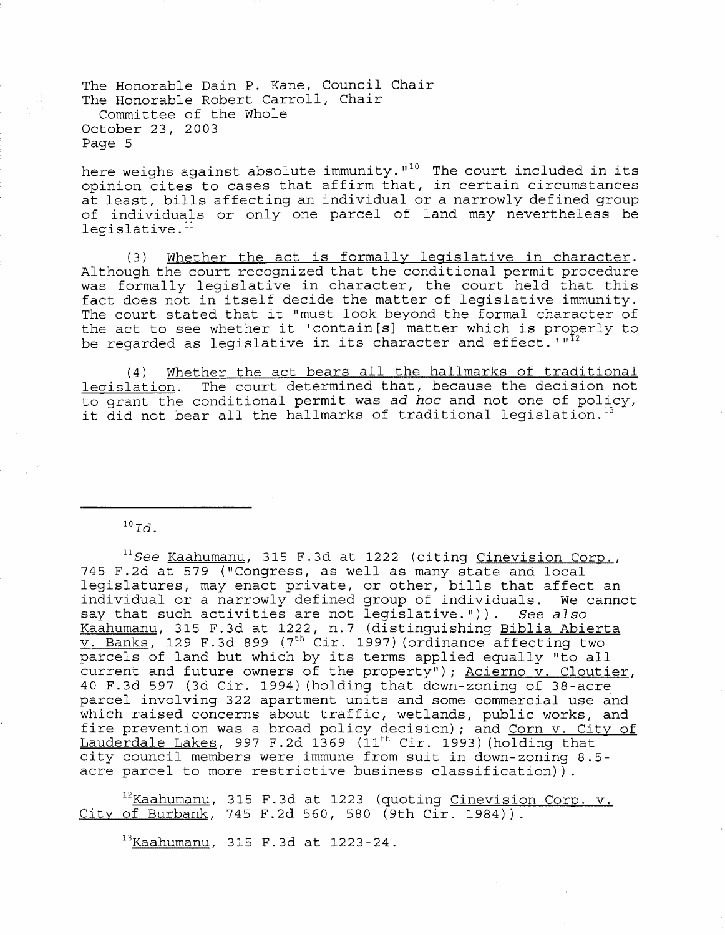here weighs against absolute immunity.  $10^1$  The court included in its opinion cites to cases that affirm that, in certain circumstances at least, bills affecting an individual or a narrowly defined group of individuals or only one parcel of land may nevertheless be  $legislative.<sup>11</sup>$ 

(3) Whether the act is formally legislative in character. Although the court recognized that the conditional permit procedure was formally legislative in character, the court held that this fact does not in itself decide the matter of legislative immunity. The court stated that it "must look beyond the formal character of the act to see whether it 'contain[s] matter which is properly to be regarded as legislative in its character and effect. '"<sup>12</sup>

(4) Whether the act bears all the hallmarks of traditional legislation. The court determined that, because the decision not to grant the conditional permit was *ad hoc* and not one of policy, it did not bear all the hallmarks of traditional legislation.<sup>13</sup>

 $^{10}Id.$ 

 $11$ See <u>Kaahumanu</u>, 315 F.3d at 1222 (citing Cinevision Corp., 745 F.2d at 579 ("Congress, as well as many state and local legislatures, may enact private, or other, bills that affect an individual or a narrowly defined group of individuals. We cannot say that such activities are not legislative. ")) . See *also*  Kaahumanu, 315 F.3d at 1222, n.7 (distinguishing Biblia Abierta v. Banks, 129 F.3d 899 (7<sup>th</sup> Cir. 1997) (ordinance affecting two parcels of land but which by its terms applied equally "to all current and future owners of the property"); Acierno v. Cloutier, 40 F.3d 597 (3d Cir. 1994) (holding that down-zoning of 38-acre parcel involving 322 apartment units and some commercial use and which raised concerns about traffic, wetlands, public works, and fire prevention was a broad policy decision) *i* and Corn v. City of Lauderdale Lakes, 997 F.2d 1369 (11 th Cir. 1993) (holding that city council members were immune from suit in down-zoning 8.5 acre parcel to more restrictive business classification)).

<sup>12</sup>Kaahumanu, 315 F.3d at 1223 (quoting <u>Cinevision Corp. v.</u> City of Burbank, 745 F.2d 560, 580 (9th Cir. 1984)).

 $^{13}$ Kaahumanu, 315 F.3d at 1223-24.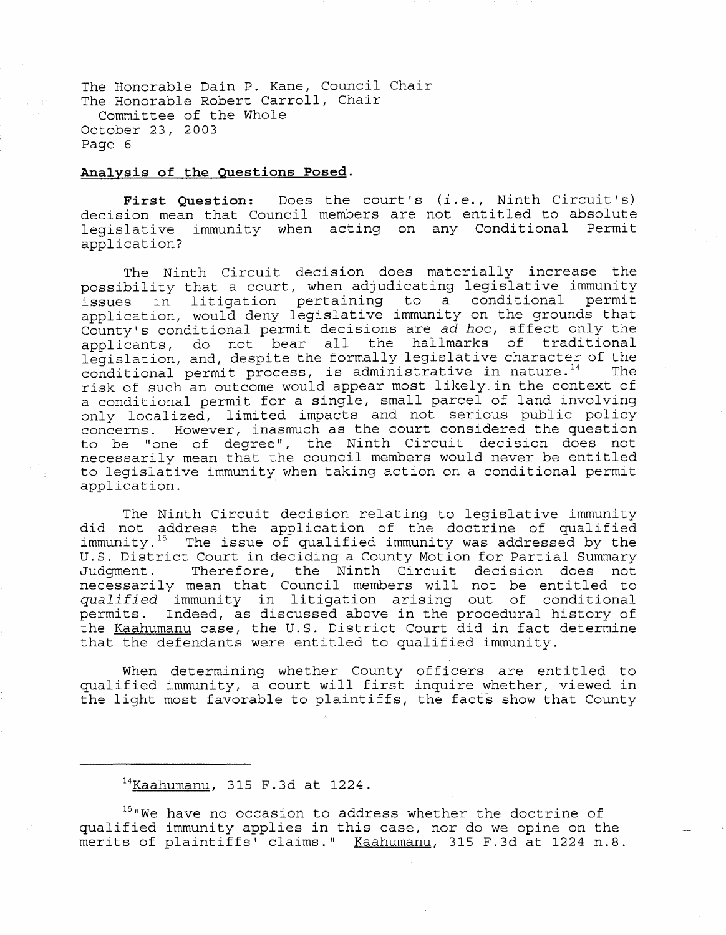## **Analysis of the Questions Posed.**

**First Question:** Does the court's *(i. e.,* Ninth Circuit's) decision mean that Council members are not entitled to absolute legislative immunity when acting on any Conditional Permit application?

The Ninth Circuit decision does materially increase the possibility that a court, when adjudicating legislative immunity issues in litigation pertaining to a conditional permit application, would deny legislative immunity on the grounds that County's conditional permit decisions are ad *hoc,* affect only the applicants, do not bear all the hallmarks of traditional legislation, and, despite the formally legislative character of the conditional permit process, is administrative in nature.<sup>14</sup> The risk of such an outcome would appear most likely. in the context of a conditional permit for a single, small parcel of land involving only localized, limited impacts and not serious public policy concerns. However, inasmuch as the court considered the question to be "one of degree", the Ninth Circuit decision does not necessarily mean that the council members would never be entitled to legislative immunity when taking action on a conditional permit application.

The Ninth Circuit decision relating to legislative immunity did not address the application of the doctrine of qualified immunity.<sup>15</sup> The issue of qualified immunity was addressed by the U.S. District Court in deciding a County Motion for Partial Summary<br>Judqment. Therefore, the Ninth Circuit decision does not Therefore, the Ninth Circuit decision does not necessarily mean that Council members will not be entitled to *qualified* immunity in litigation arising out of conditional permits. Indeed, as discussed above in the procedural history of the Kaahumanu case, the U.S. District Court did in fact determine that the defendants were entitled to qualified immunity.

When determining whether County officers are entitled to qualified immunity, a court will first inquire whether, viewed in the light most favorable to plaintiffs, the facts show that County

# $14$ Kaahumanu, 315 F.3d at 1224.

<sup>15</sup> "We have no occasion to address whether the doctrine of qualified immunity applies in this case, nor do we opine on the merits of plaintiffs' claims." Kaahumanu, 315 F.3d at 1224 n.8.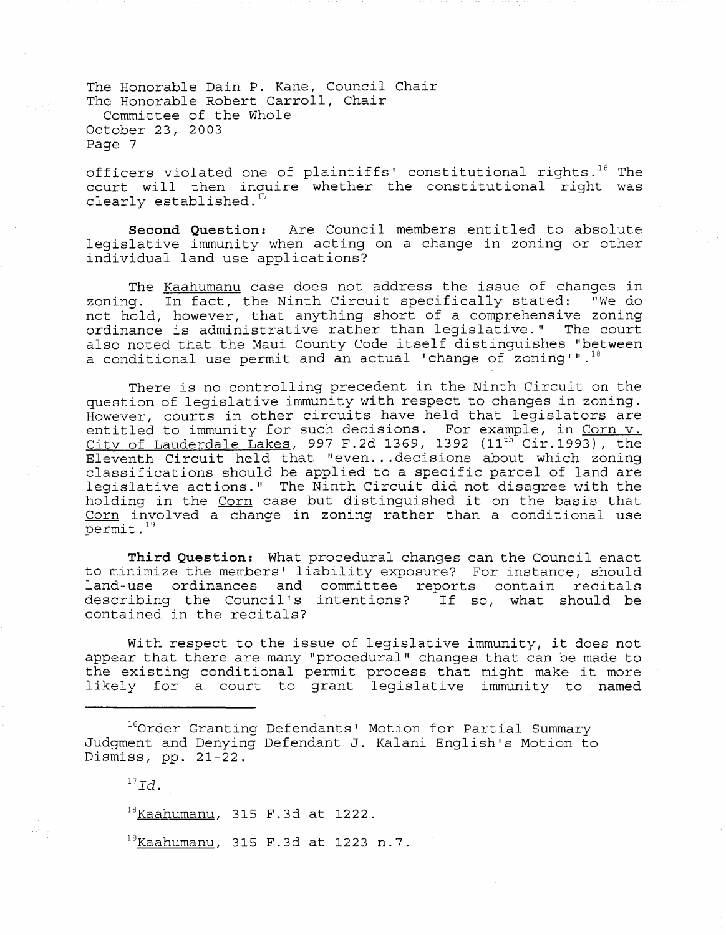officers violated one of plaintiffs' constitutional rights.<sup>16</sup> The court will then inquire whether the constitutional right was clearly established.

**Second Question:** Are Council members entitled to absolute legislative immunity when acting on a change in zoning or other individual land use applications?

The <u>Kaahumanu</u> case does not address the issue of changes in<br>a. In fact, the Ninth Circuit specifically stated: "We do zoning. In fact, the Ninth Circuit specifically stated: not hold, however, that anything short of a comprehensive zoning ordinance is administrative rather than legislative." The court also noted that the Maui County Code itself distinguishes "between a conditional use permit and an actual 'change of zoning'".<sup>18</sup>

There is no controlling precedent in the Ninth Circuit on the question of legislative immunity with respect to changes in zoning. However, courts in other circuits have held that legislators are entitled to immunity for such decisions. For example, in Corn v.  $City$  of Lauderdale Lakes, 997 F.2d 1369, 1392 (11 $^{\text{th}}$  Cir.1993), the Eleventh Circuit held that "even... decisions about which zoning classifications should be applied to a specific parcel of land are legislative actions." The Ninth Circuit did not disagree with the holding in the Corn case but distinguished it on the basis that Corn involved a change in zoning rather than a conditional use permit. <sup>19</sup>

**Third Question:** What procedural changes can the Council enact to minimize the members' liability exposure? For instance, should land-use ordinances and committee reports contain recitals describing the Council's intentions? If so, what should be contained in the recitals?

With respect to the issue of legislative immunity, it does not appear that there are many "procedural" changes that can be made to the existing conditional permit process that might make it more likely for a court to grant legislative immunity to named

<sup>16</sup>Order Granting Defendants' Motion for Partial Summary Judgment and Denying Defendant J. Kalani English's Motion to Dismiss,  $pp. 21-22.$ 

 $^{17}Id.$ 

 $18$ Kaahumanu, 315 F.3d at 1222.

 $^{19}$ Kaahumanu, 315 F.3d at 1223 n.7.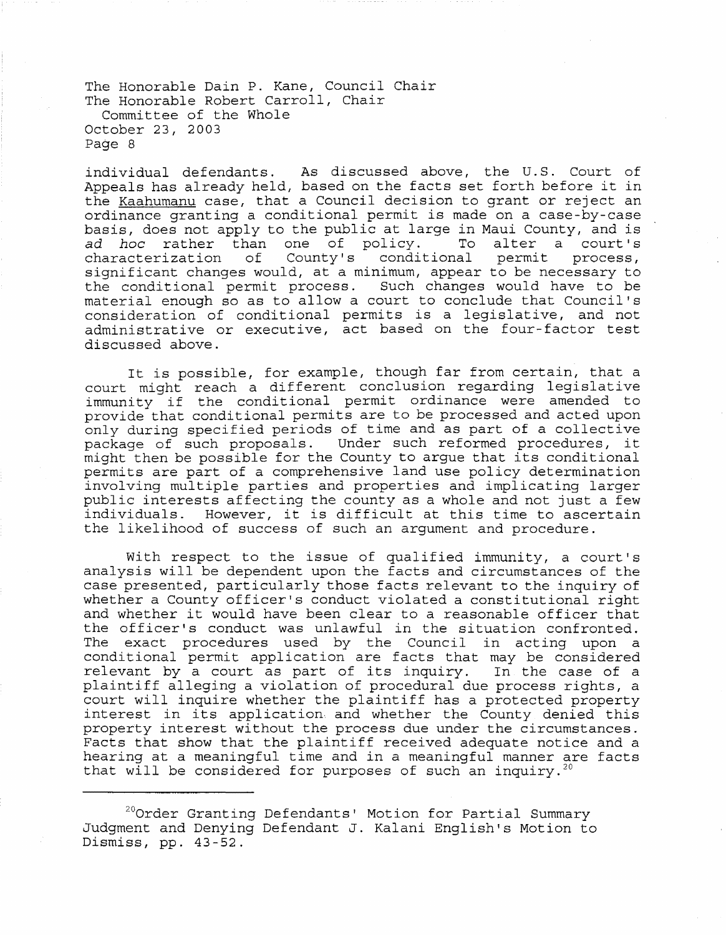individual defendants. As discussed above, the U.S. Court of Appeals has already held, based on the facts set forth before it in the Kaahumanu case, that a Council decision to grant or reject an ordinance granting a conditional permit is made on a case-by-case basis, does not apply to the public at large in Maui County, and is ad hoc rather than one of policy. To alter a court's ad hoc rather than one of policy. To alter a court's<br>characterization of County's conditional permit process, characterization significant changes would, at a minimum, appear to be necessary to the conditional permit process. Such changes would have to be material enough so as to allow a court to conclude that Council's consideration of conditional permits is a legislative, and not administrative or executive, act based on the four-factor test discussed above.

It is possible, for example, though far from certain, that a court might reach a different conclusion regarding legislative immunity if the conditional permit ordinance were amended to provide that conditional permits are to be processed and acted upon only during specified periods of time and as part of a collective package of such proposals. Under such reformed procedures, it might then be possible for the County to argue that its conditional permits are part of a comprehensive land use policy determination involving multiple parties and properties and implicating larger public interests affecting the county as a whole and not just a few individuals. However, it is difficult at this time to ascertain the likelihood of success of such an argument and procedure.

With respect to the issue of qualified immunity, a court's analysis will be dependent upon the facts and circumstances of the case presented, particularly those facts relevant to the inquiry of whether a County officer's conduct violated a constitutional right and whether it would have been clear to a reasonable officer that the officer's conduct was unlawful in the situation confronted. The exact procedures used by the Council in acting upon a conditional permit application are facts that may be considered relevant by a court as part of its inquiry. In the case of a plaintiff alleging a violation of procedural due process rights, a court will inquire whether the plaintiff has a protected property interest in its application and whether the County denied this property interest without the process due under the circumstances. Facts that show that the plaintiff received adequate notice and a hearing at a meaningful time and in a meaningful manner are facts that will be considered for purposes of such an inquiry.<sup>20</sup>

 $20$ Order Granting Defendants' Motion for Partial Summary Judgment and Denying Defendant J. Kalani English's Motion to Dismiss, pp. 43-52.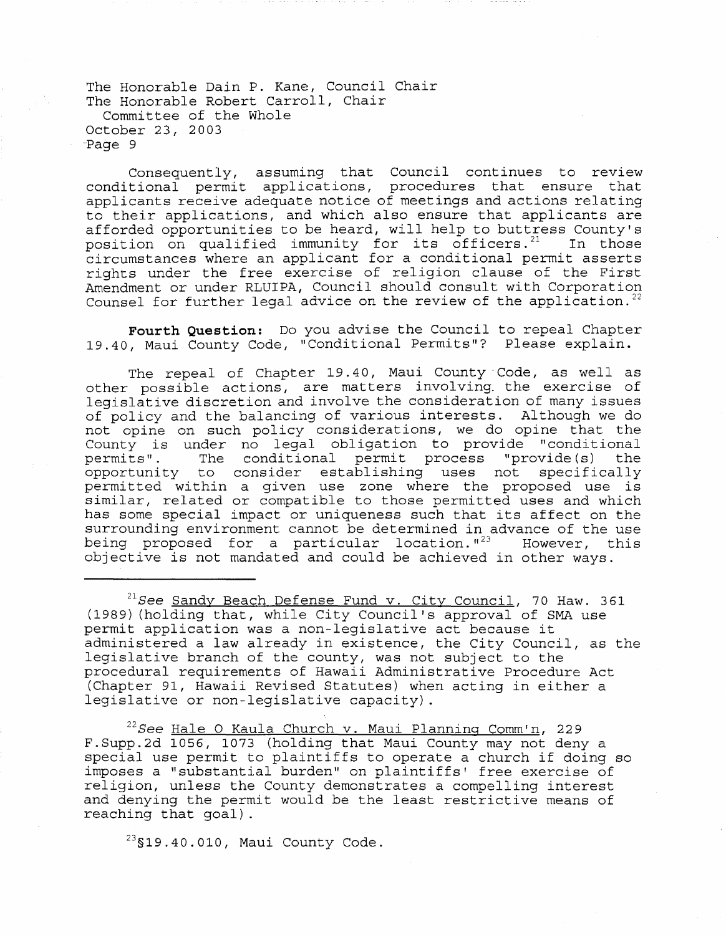Consequently, assuming that Council continues to review conditional permit applications, procedures that ensure that applicants receive adequate notice of meetings and actions relating to their applications, and which also ensure that applicants are afforded opportunities to be heard, will help to buttress County's position on qualified immunity for its officers. $21$  In those circumstances where an applicant for a conditional permit asserts rights under the free exercise of religion clause of the First Amendment or under RLUIPA, Council should consult with Corporation Counsel for further legal advice on the review of the application.<sup>22</sup>

**Fourth Question:** Do you advise the Council to repeal Chapter 19.40, Maui County Code, "Conditional Permits"? Please explain.

The repeal of Chapter 19.40, Maui County Code, as well as other possible actions, are matters involving the exercise of legislative discretion and involve the consideration of many issues of policy and the balancing of various interests. Although we do not opine on such policy considerations, we do opine that the County is under no legal obligation to provide "conditional permits". The conditional permit process "provide(s) the<br>opportunity to consider establishing uses not specifically opportunity to consider establishing uses not permitted within a given use zone where the proposed use is similar, related or compatible to those permitted uses and which has some special impact or uniqueness such that its affect on the surrounding environment cannot be determined in advance of the use<br>being proposed for a particular location."<sup>23</sup> However, this being proposed for a particular location.  $123$ objective is not mandated and could be achieved in other ways.

*21See* Sandy Beach Defense Fund v. City Council, 70 Haw. 361 (1989) (holding that, while City Council's approval of SMA use permit application was a non-legislative act because it administered a law already in existence, the City Council, as the legislative branch of the county, was not subject to the procedural requirements of Hawaii Administrative Procedure Act (Chapter 91, Hawaii Revised Statutes) when acting in either a legislative or non-legislative capacity).

*22See* Hale 0 Kaula Church v. Maui Planning Comm'n, 229 F.Supp.2d 1056, 1073 (holding that Maui County may not deny a special use permit to plaintiffs to operate a church if doing so imposes a "substantial burden" on plaintiffs' free exercise of religion, unless the County demonstrates a compelling interest and denying the permit would be the least restrictive means of reaching that goal) .

 $^{23}$ §19.40.010, Maui County Code.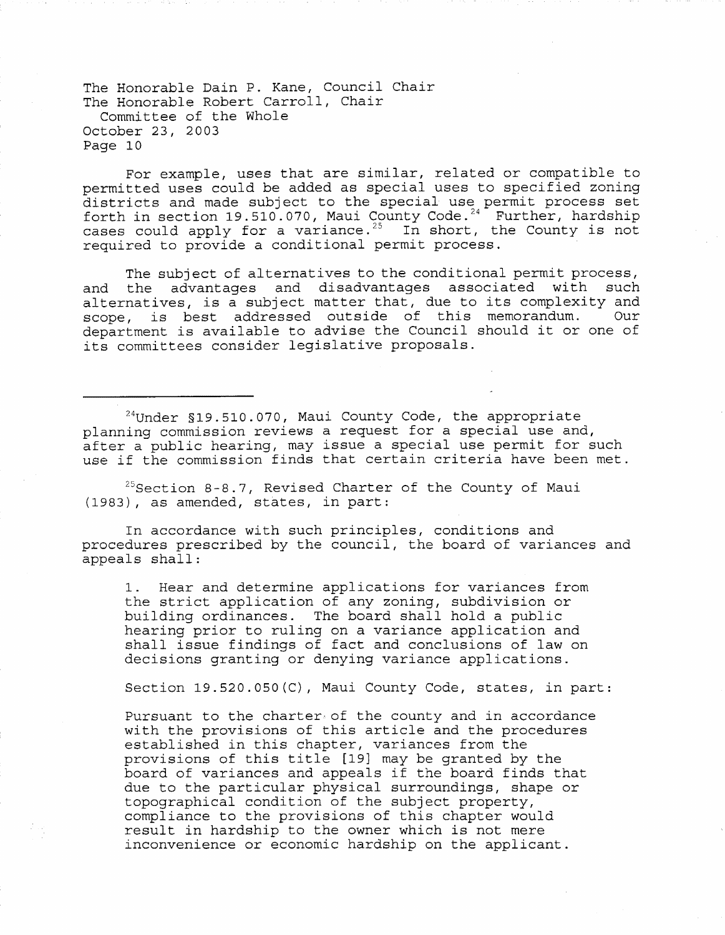For example, uses that are similar, related or compatible to permitted uses could be added as special uses to specified zoning districts and made subject to the special use permit process set forth in section 19.510.070, Maui County Code. 24 Further, hardship cases could apply for a variance.<sup>25</sup> In short, the County is not required to provide a conditional permit process.

The subject of alternatives to the conditional permit process, and the advantages and disadvantages associated with such alternatives, is a subject matter that, due to its complexity and<br>scope, is best addressed outside of this memorandum. Our scope, is best addressed outside of this memorandum. department is available to advise the Council should it or one of its committees consider legislative proposals.

24Under §19.510.070, Maui County Code, the appropriate planning commission reviews a request for a special use and, after a public hearing, may issue a special use permit for such use if the commission finds that certain criteria have been met.

<sup>25</sup>Section 8-8.7, Revised Charter of the County of Maui (1983), as amended, states, in part:

In accordance with such principles, conditions and procedures prescribed by the council, the board of variances and appeals shall:

1. Hear and determine applications for variances from the strict application of any zoning, subdivision or building ordinances. The board shall hold a public hearing prior to ruling on a variance application and shall issue findings of fact and conclusions of law on decisions granting or denying variance applications.

Section 19.520.050(C), Maui County Code, states, in part:

Pursuant to the charter of the county and in accordance with the provisions of this article and the procedures established in this chapter, variances from the provisions of this title [19] may be granted by the board of variances and appeals if the board finds that due to the particular physical surroundings, shape or topographical condition of the subject property, compliance to the provisions of this chapter would result in hardship to the owner which is not mere inconvenience or economic hardship on the applicant.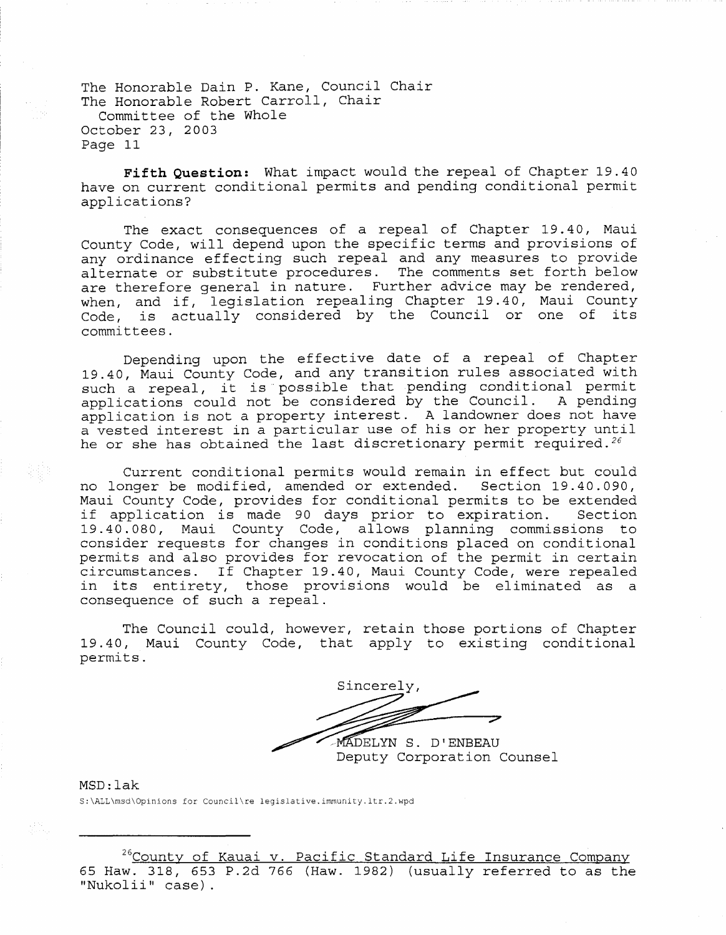**Fifth Question:** What impact would the repeal of Chapter 19.40 have on current conditional permits and pending conditional permit applications?

The exact consequences of a repeal of Chapter 19.40, Maui County Code, will depend upon the specific terms and provisions of any ordinance effecting such repeal and any measures to provide alternate or substitute procedures. The comments set forth below are therefore general in nature. Further advice may be rendered, when, and if, legislation repealing Chapter 19.40, Maui County Code, is actually considered by the Council or one of its committees.

Depending upon the effective date of a repeal of Chapter 19.40, Maui County Code, and any transition rules associated with 19.40, Maui County Code, and any cransition fules associated with<br>such a repeal, it is possible that pending conditional permit applications could not be considered by the Council. A pending application is not a property interest. A landowner does not have a vested interest in a particular use of his or her property until he or she has obtained the last discretionary permit required.<sup>26</sup>

Current conditional permits would remain in effect but could no longer be modified, amended or extended. Section 19.40.090/ Maui County Code, provides for conditional permits to be extended<br>if application is made 90 davs prior to expiration. Section if application is made 90 days prior to expiration. 19.40.080, Maui County Code, allows planning commissions to consider requests for changes in conditions placed on conditional permits and also provides for revocation of the permit in certain circumstances. If Chapter 19.40, Maui County Code, were repealed in its entirety, those provisions would be eliminated as a consequence of such a repeal.

The Council could, however, retain those portions of Chapter 19.40/ Maui County Code/ that apply to existing conditional permits.

Sincerely, MADELYN S. D'ENBEAU

Deputy Corporation Counsel

MSD: lak S:\ALL\msd\Opinions for Council\re legislative.immunity.ltr.2.wpd

<sup>26</sup>County of Kauai v. Pacific Standard Life Insurance Company 65 Haw. 318/ 653 P.2d 766 (Haw. 1982) (usually referred to as the "Nukolii" case).